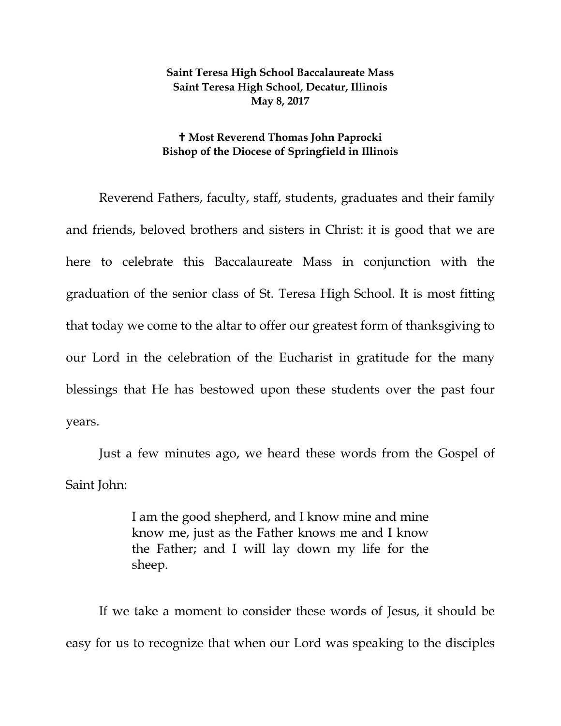## **Saint Teresa High School Baccalaureate Mass Saint Teresa High School, Decatur, Illinois May 8, 2017**

## **Most Reverend Thomas John Paprocki Bishop of the Diocese of Springfield in Illinois**

Reverend Fathers, faculty, staff, students, graduates and their family and friends, beloved brothers and sisters in Christ: it is good that we are here to celebrate this Baccalaureate Mass in conjunction with the graduation of the senior class of St. Teresa High School. It is most fitting that today we come to the altar to offer our greatest form of thanksgiving to our Lord in the celebration of the Eucharist in gratitude for the many blessings that He has bestowed upon these students over the past four years.

Just a few minutes ago, we heard these words from the Gospel of Saint John:

> I am the good shepherd, and I know mine and mine know me, just as the Father knows me and I know the Father; and I will lay down my life for the sheep.

If we take a moment to consider these words of Jesus, it should be easy for us to recognize that when our Lord was speaking to the disciples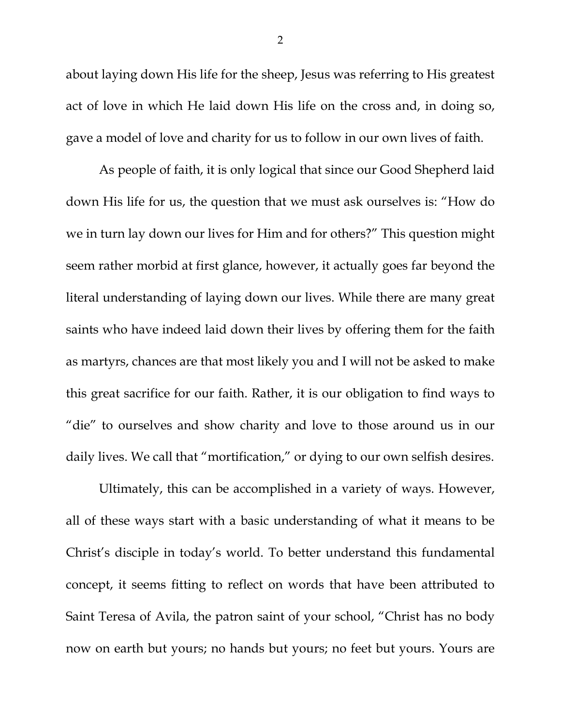about laying down His life for the sheep, Jesus was referring to His greatest act of love in which He laid down His life on the cross and, in doing so, gave a model of love and charity for us to follow in our own lives of faith.

As people of faith, it is only logical that since our Good Shepherd laid down His life for us, the question that we must ask ourselves is: "How do we in turn lay down our lives for Him and for others?" This question might seem rather morbid at first glance, however, it actually goes far beyond the literal understanding of laying down our lives. While there are many great saints who have indeed laid down their lives by offering them for the faith as martyrs, chances are that most likely you and I will not be asked to make this great sacrifice for our faith. Rather, it is our obligation to find ways to "die" to ourselves and show charity and love to those around us in our daily lives. We call that "mortification," or dying to our own selfish desires.

Ultimately, this can be accomplished in a variety of ways. However, all of these ways start with a basic understanding of what it means to be Christ's disciple in today's world. To better understand this fundamental concept, it seems fitting to reflect on words that have been attributed to Saint Teresa of Avila, the patron saint of your school, "Christ has no body now on earth but yours; no hands but yours; no feet but yours. Yours are

2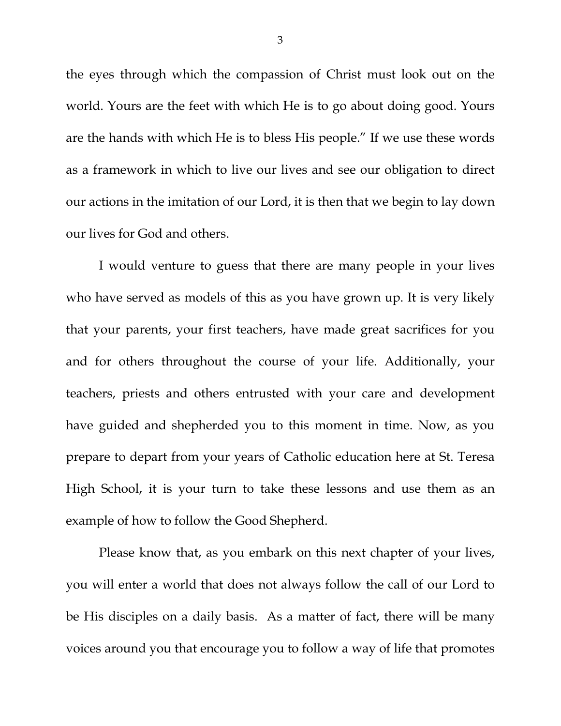the eyes through which the compassion of Christ must look out on the world. Yours are the feet with which He is to go about doing good. Yours are the hands with which He is to bless His people." If we use these words as a framework in which to live our lives and see our obligation to direct our actions in the imitation of our Lord, it is then that we begin to lay down our lives for God and others.

I would venture to guess that there are many people in your lives who have served as models of this as you have grown up. It is very likely that your parents, your first teachers, have made great sacrifices for you and for others throughout the course of your life. Additionally, your teachers, priests and others entrusted with your care and development have guided and shepherded you to this moment in time. Now, as you prepare to depart from your years of Catholic education here at St. Teresa High School, it is your turn to take these lessons and use them as an example of how to follow the Good Shepherd.

Please know that, as you embark on this next chapter of your lives, you will enter a world that does not always follow the call of our Lord to be His disciples on a daily basis. As a matter of fact, there will be many voices around you that encourage you to follow a way of life that promotes

3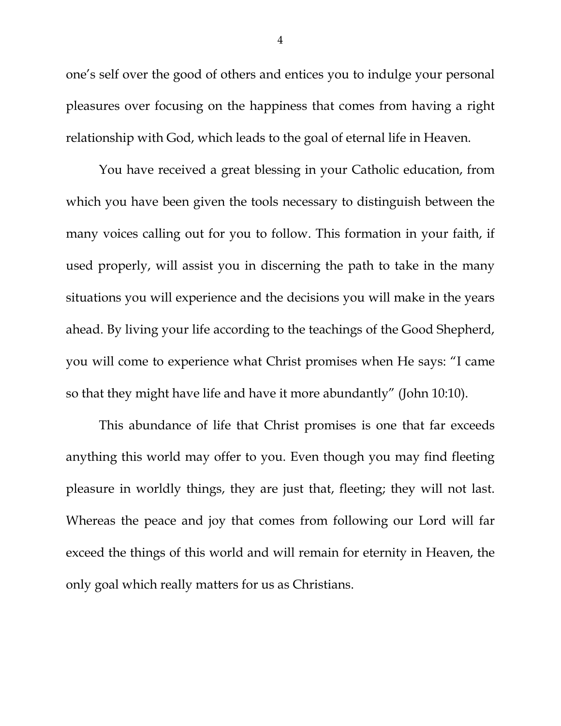one's self over the good of others and entices you to indulge your personal pleasures over focusing on the happiness that comes from having a right relationship with God, which leads to the goal of eternal life in Heaven.

You have received a great blessing in your Catholic education, from which you have been given the tools necessary to distinguish between the many voices calling out for you to follow. This formation in your faith, if used properly, will assist you in discerning the path to take in the many situations you will experience and the decisions you will make in the years ahead. By living your life according to the teachings of the Good Shepherd, you will come to experience what Christ promises when He says: "I came so that they might have life and have it more abundantly" (John 10:10).

This abundance of life that Christ promises is one that far exceeds anything this world may offer to you. Even though you may find fleeting pleasure in worldly things, they are just that, fleeting; they will not last. Whereas the peace and joy that comes from following our Lord will far exceed the things of this world and will remain for eternity in Heaven, the only goal which really matters for us as Christians.

4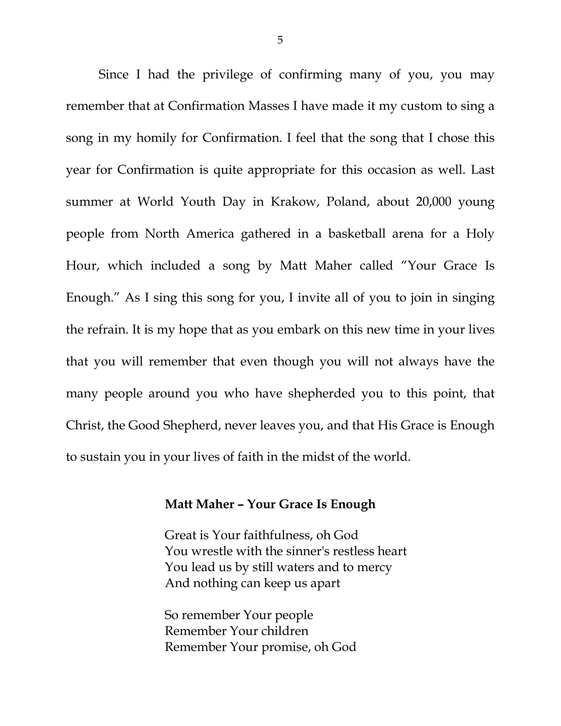Since I had the privilege of confirming many of you, you may remember that at Confirmation Masses I have made it my custom to sing a song in my homily for Confirmation. I feel that the song that I chose this year for Confirmation is quite appropriate for this occasion as well. Last summer at World Youth Day in Krakow, Poland, about 20,000 young people from North America gathered in a basketball arena for a Holy Hour, which included a song by Matt Maher called "Your Grace Is Enough." As I sing this song for you, I invite all of you to join in singing the refrain. It is my hope that as you embark on this new time in your lives that you will remember that even though you will not always have the many people around you who have shepherded you to this point, that Christ, the Good Shepherd, never leaves you, and that His Grace is Enough to sustain you in your lives of faith in the midst of the world.

## **Matt Maher – Your Grace Is Enough**

Great is Your faithfulness, oh God You wrestle with the sinner's restless heart You lead us by still waters and to mercy And nothing can keep us apart

So remember Your people Remember Your children Remember Your promise, oh God